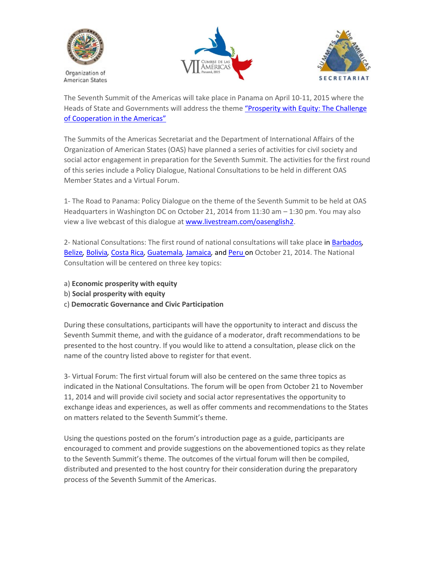

Organization of **American States** 





The Seventh Summit of the Americas will take place in Panama on April 10-11, 2015 where the Heads of State and Governments will address the theme ["Prosperity](http://www.summit-americas.org/SIRG/2014/091514/tema_en.doc) with Equity: The Challenge of [Cooperation](http://www.summit-americas.org/SIRG/2014/091514/tema_en.doc) in the Americas"

The Summits of the Americas Secretariat and the Department of International Affairs of the Organization of American States (OAS) have planned a series of activities for civil society and social actor engagement in preparation for the Seventh Summit. The activities for the first round of this series include a Policy Dialogue, National Consultations to be held in different OAS Member States and a Virtual Forum.

1- The Road to Panama: Policy Dialogue on the theme of the Seventh Summit to be held at OAS Headquarters in Washington DC on October 21, 2014 from 11:30 am – 1:30 pm. You may also view a live webcast of this dialogue at [www.livestream.com/oasenglish2.](http://www.livestream.com/oasenglish2)

2- National Consultations: The first round of national consultations will take place in [Barbados](https://barbadospolicydialogues.eventbrite.com/)*,*  [Belize](https://belizepolicydialogues.eventbrite.com/)*,* [Bolivia](https://boliviadialogosdepoliticas.eventbrite.com/)*,* [Costa Rica](https://costaricadialogosdepoliticas.eventbrite.com/)*,* [Guatemala](https://guatemaladialogosdepoliticas.eventbrite.com/)*,* [Jamaica](http://https/jamaicapolicydialogue.eventbrite.com)*,* and [Peru o](https://perudialogosdepoliticas.eventbrite.com/)n October 21, 2014. The National Consultation will be centered on three key topics:

- a) **[Economic](http://svc.summit-americas.org/?q=tips_questions) prosperity with equity**
- b) **[Social](http://svc.summit-americas.org/?q=tips_questions) prosperity with equity**
- c) **Democratic Governance and Civic Participation**

During these consultations, participants will have the opportunity to interact and discuss the Seventh Summit theme, and with the guidance of a moderator, draft recommendations to be presented to the host country. If you would like to attend a consultation, please click on the name of the country listed above to register for that event.

3- Virtual Forum: The first virtual forum will also be centered on the same three topics as indicated in the National Consultations. The forum will be open from October 21 to November 11, 2014 and will provide civil society and social actor representatives the opportunity to exchange ideas and experiences, as well as offer comments and recommendations to the States on matters related to the Seventh Summit's theme.

Using the questions posted on the forum's introduction page as a guide, participants are encouraged to comment and provide suggestions on the abovementioned topics as they relate to the Seventh Summit's theme. The outcomes of the virtual forum will then be compiled, distributed and presented to the host country for their consideration during the preparatory process of the Seventh Summit of the Americas.